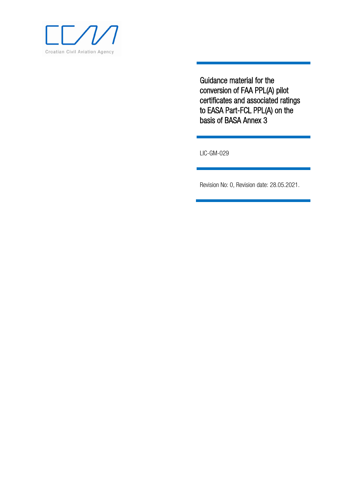

Guidance material for the conversion of FAA PPL(A) pilot certificates and associated ratings to EASA Part-FCL PPL(A) on the basis of BASA Annex 3

LIC-GM-029

Revision No: 0, Revision date: 28.05.2021.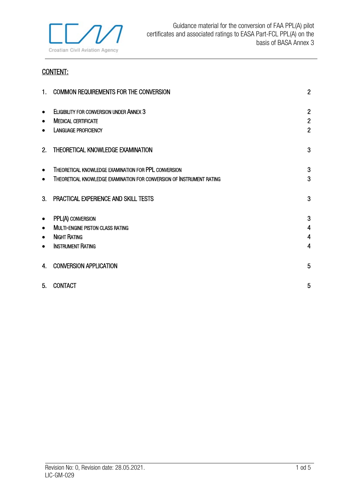

# CONTENT:

| 1 <sub>1</sub> | COMMON REQUIREMENTS FOR THE CONVERSION                                | $\overline{2}$          |
|----------------|-----------------------------------------------------------------------|-------------------------|
| $\bullet$      | <b>ELIGIBILITY FOR CONVERSION UNDER ANNEX 3</b>                       | $\overline{2}$          |
| $\bullet$      | <b>MEDICAL CERTIFICATE</b>                                            | $\overline{2}$          |
| ٠              | <b>LANGUAGE PROFICIENCY</b>                                           | $\overline{2}$          |
| 2.             | THEORETICAL KNOWLEDGE EXAMINATION                                     | 3                       |
| ٠              | THEORETICAL KNOWLEDGE EXAMINATION FOR PPL CONVERSION                  | 3                       |
| $\bullet$      | THEORETICAL KNOWLEDGE EXAMINATION FOR CONVERSION OF INSTRUMENT RATING | 3                       |
| 3.             | PRACTICAL EXPERIENCE AND SKILL TESTS                                  | 3                       |
| $\bullet$      | PPL(A) CONVERSION                                                     | 3                       |
| $\bullet$      | MULTI-ENGINE PISTON CLASS RATING                                      | $\overline{4}$          |
| $\bullet$      | <b>NIGHT RATING</b>                                                   | $\overline{\mathbf{4}}$ |
| $\bullet$      | <b>INSTRUMENT RATING</b>                                              | 4                       |
| 4.             | <b>CONVERSION APPLICATION</b>                                         | 5                       |
| 5.             | <b>CONTACT</b>                                                        | 5                       |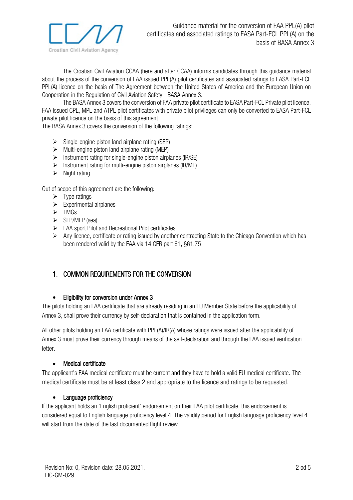

The Croatian Civil Aviation CCAA (here and after CCAA) informs candidates through this guidance material about the process of the conversion of FAA issued PPL(A) pilot certificates and associated ratings to EASA Part-FCL PPL(A) licence on the basis of The Agreement between the United States of America and the European Union on Cooperation in the Regulation of Civil Aviation Safety - BASA Annex 3.

The BASA Annex 3 covers the conversion of FAA private pilot certificate to EASA Part-FCL Private pilot licence. FAA issued CPL, MPL and ATPL pilot certificates with private pilot privileges can only be converted to EASA Part-FCL private pilot licence on the basis of this agreement.

The BASA Annex 3 covers the conversion of the following ratings:

- $\triangleright$  Single-engine piston land airplane rating (SEP)
- $\triangleright$  Multi-engine piston land airplane rating (MEP)
- $\triangleright$  Instrument rating for single-engine piston airplanes (IR/SE)
- $\triangleright$  Instrument rating for multi-engine piston airplanes (IR/ME)
- $\triangleright$  Night rating

Out of scope of this agreement are the following:

- $\triangleright$  Type ratings
- $\triangleright$  Experimental airplanes
- $\triangleright$  TMGs
- $\triangleright$  SEP/MEP (sea)
- FAA sport Pilot and Recreational Pilot certificates
- $\triangleright$  Any licence, certificate or rating issued by another contracting State to the Chicago Convention which has been rendered valid by the FAA via 14 CFR part 61, §61.75

## <span id="page-2-0"></span>1. COMMON REQUIREMENTS FOR THE CONVERSION

#### <span id="page-2-1"></span>• Eligibility for conversion under Annex 3

The pilots holding an FAA certificate that are already residing in an EU Member State before the applicability of Annex 3, shall prove their currency by self-declaration that is contained in the application form.

All other pilots holding an FAA certificate with PPL(A)/IR(A) whose ratings were issued after the applicability of Annex 3 must prove their currency through means of the self-declaration and through the FAA issued verification letter.

#### • Medical certificate

<span id="page-2-2"></span>The applicant's FAA medical certificate must be current and they have to hold a valid EU medical certificate. The medical certificate must be at least class 2 and appropriate to the licence and ratings to be requested.

#### • Language proficiency

<span id="page-2-3"></span>If the applicant holds an 'English proficient' endorsement on their FAA pilot certificate, this endorsement is considered equal to English language proficiency level 4. The validity period for English language proficiency level 4 will start from the date of the last documented flight review.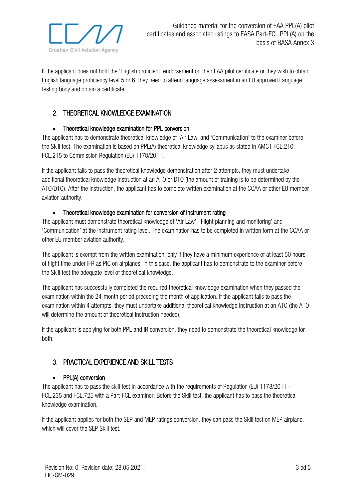

If the applicant does not hold the 'English proficient' endorsement on their FAA pilot certificate or they wish to obtain English language proficiency level 5 or 6, they need to attend language assessment in an EU approved Language testing body and obtain a certificate.

## <span id="page-3-0"></span>2. THEORETICAL KNOWLEDGE EXAMINATION

### <span id="page-3-1"></span>• Theoretical knowledge examination for PPL conversion

The applicant has to demonstrate theoretical knowledge of 'Air Law' and 'Communication' to the examiner before the Skill test. The examination is based on PPL(A) theoretical knowledge syllabus as stated in AMC1 FCL.210; FCL.215 to Commission Regulation (EU) 1178/2011.

If the applicant fails to pass the theoretical knowledge demonstration after 2 attempts, they must undertake additional theoretical knowledge instruction at an ATO or DTO (the amount of training is to be determined by the ATO/DTO). After the instruction, the applicant has to complete written examination at the CCAA or other EU member aviation authority.

### • Theoretical knowledge examination for conversion of Instrument rating

<span id="page-3-2"></span>The applicant must demonstrate theoretical knowledge of 'Air Law', 'Flight planning and monitoring' and 'Communication' at the instrument rating level. The examination has to be completed in written form at the CCAA or other EU member aviation authority.

The applicant is exempt from the written examination, only if they have a minimum experience of at least 50 hours of flight time under IFR as PIC on airplanes. In this case, the applicant has to demonstrate to the examiner before the Skill test the adequate level of theoretical knowledge.

The applicant has successfully completed the required theoretical knowledge examination when they passed the examination within the 24-month period preceding the month of application. If the applicant fails to pass the examination within 4 attempts, they must undertake additional theoretical knowledge instruction at an ATO (the ATO will determine the amount of theoretical instruction needed).

If the applicant is applying for both PPL and IR conversion, they need to demonstrate the theoretical knowledge for both.

## <span id="page-3-3"></span>3. PRACTICAL EXPERIENCE AND SKILL TESTS

### <span id="page-3-4"></span>• PPL(A) conversion

The applicant has to pass the skill test in accordance with the requirements of Regulation (EU) 1178/2011 – FCL.235 and FCL.725 with a Part-FCL examiner. Before the Skill test, the applicant has to pass the theoretical knowledge examination.

If the applicant applies for both the SEP and MEP ratings conversion, they can pass the Skill test on MEP airplane, which will cover the SEP Skill test.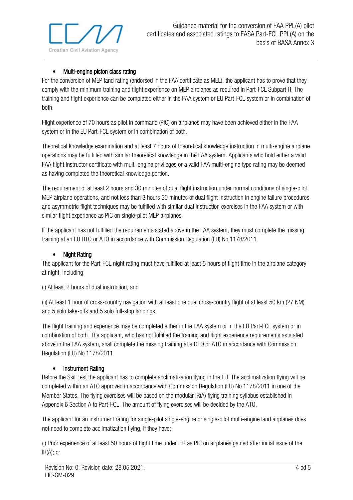

### • Multi-engine piston class rating

<span id="page-4-0"></span>For the conversion of MEP land rating (endorsed in the FAA certificate as MEL), the applicant has to prove that they comply with the minimum training and flight experience on MEP airplanes as required in Part-FCL Subpart H. The training and flight experience can be completed either in the FAA system or EU Part-FCL system or in combination of both.

Flight experience of 70 hours as pilot in command (PIC) on airplanes may have been achieved either in the FAA system or in the EU Part-FCL system or in combination of both.

Theoretical knowledge examination and at least 7 hours of theoretical knowledge instruction in multi-engine airplane operations may be fulfilled with similar theoretical knowledge in the FAA system. Applicants who hold either a valid FAA flight instructor certificate with multi-engine privileges or a valid FAA multi-engine type rating may be deemed as having completed the theoretical knowledge portion.

The requirement of at least 2 hours and 30 minutes of dual flight instruction under normal conditions of single-pilot MEP airplane operations, and not less than 3 hours 30 minutes of dual flight instruction in engine failure procedures and asymmetric flight techniques may be fulfilled with similar dual instruction exercises in the FAA system or with similar flight experience as PIC on single-pilot MEP airplanes.

If the applicant has not fulfilled the requirements stated above in the FAA system, they must complete the missing training at an EU DTO or ATO in accordance with Commission Regulation (EU) No 1178/2011.

### • Night Rating

<span id="page-4-1"></span>The applicant for the Part-FCL night rating must have fulfilled at least 5 hours of flight time in the airplane category at night, including:

(i) At least 3 hours of dual instruction, and

(ii) At least 1 hour of cross-country navigation with at least one dual cross-country flight of at least 50 km (27 NM) and 5 solo take-offs and 5 solo full-stop landings.

The flight training and experience may be completed either in the FAA system or in the EU Part-FCL system or in combination of both. The applicant, who has not fulfilled the training and flight experience requirements as stated above in the FAA system, shall complete the missing training at a DTO or ATO in accordance with Commission Regulation (EU) No 1178/2011.

#### • Instrument Rating

<span id="page-4-2"></span>Before the Skill test the applicant has to complete acclimatization flying in the EU. The acclimatization flying will be completed within an ATO approved in accordance with Commission Regulation (EU) No 1178/2011 in one of the Member States. The flying exercises will be based on the modular IR(A) flying training syllabus established in Appendix 6 Section A to Part-FCL. The amount of flying exercises will be decided by the ATO.

The applicant for an instrument rating for single-pilot single-engine or single-pilot multi-engine land airplanes does not need to complete acclimatization flying, if they have:

(i) Prior experience of at least 50 hours of flight time under IFR as PIC on airplanes gained after initial issue of the IR(A); or